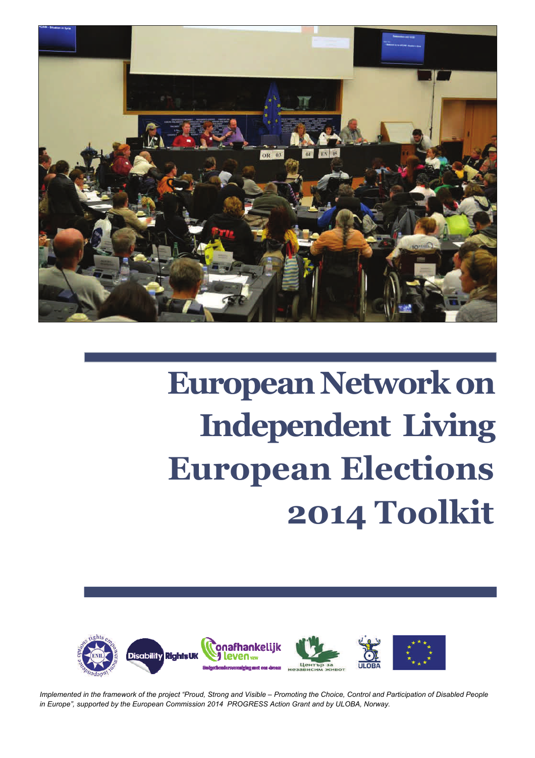

# **European Network on Independent Living European Elections 2014 Toolkit**



*Implemented in the framework of the project "Proud, Strong and Visible – Promoting the Choice, Control and Participation of Disabled People in Europe", supported by the European Commission 2014 PROGRESS Action Grant and by ULOBA, Norway.*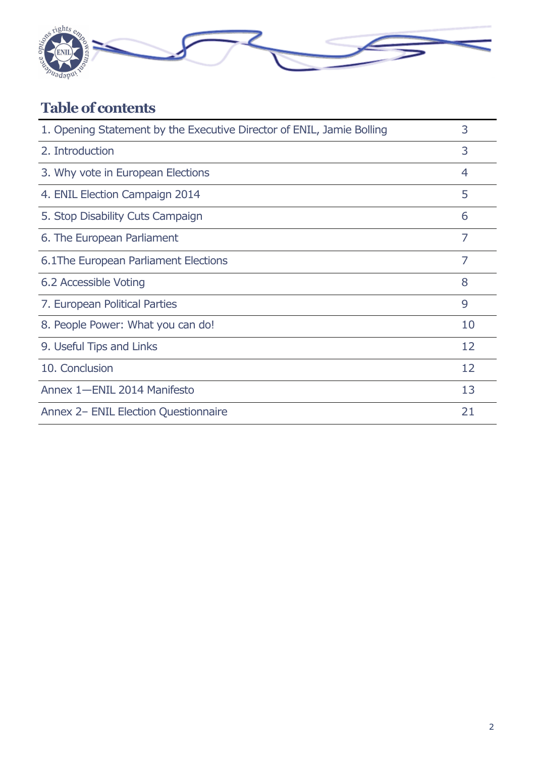

# **Table of contents**

| 1. Opening Statement by the Executive Director of ENIL, Jamie Bolling | 3              |
|-----------------------------------------------------------------------|----------------|
| 2. Introduction                                                       | 3              |
| 3. Why vote in European Elections                                     | $\overline{4}$ |
| 4. ENIL Election Campaign 2014                                        | 5              |
| 5. Stop Disability Cuts Campaign                                      | 6              |
| 6. The European Parliament                                            | 7              |
| 6.1 The European Parliament Elections                                 | $\overline{7}$ |
| 6.2 Accessible Voting                                                 | 8              |
| 7. European Political Parties                                         | 9              |
| 8. People Power: What you can do!                                     | 10             |
| 9. Useful Tips and Links                                              | 12             |
| 10. Conclusion                                                        | 12             |
| Annex 1-ENIL 2014 Manifesto                                           | 13             |
| Annex 2- ENIL Election Questionnaire                                  | 21             |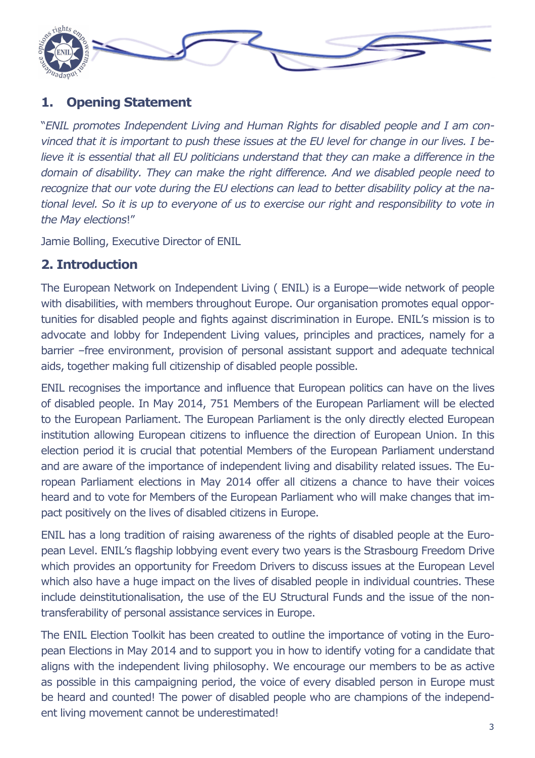

### **1. Opening Statement**

"*ENIL promotes Independent Living and Human Rights for disabled people and I am convinced that it is important to push these issues at the EU level for change in our lives. I be*lieve it is essential that all EU politicians understand that they can make a difference in the *domain of disability. They can make the right difference. And we disabled people need to recognize that our vote during the EU elections can lead to better disability policy at the national level. So it is up to everyone of us to exercise our right and responsibility to vote in the May elections*!"

Jamie Bolling, Executive Director of ENIL

### **2. Introduction**

The European Network on Independent Living ( ENIL) is a Europe—wide network of people with disabilities, with members throughout Europe. Our organisation promotes equal opportunities for disabled people and fights against discrimination in Europe. ENIL's mission is to advocate and lobby for Independent Living values, principles and practices, namely for a barrier –free environment, provision of personal assistant support and adequate technical aids, together making full citizenship of disabled people possible.

ENIL recognises the importance and influence that European politics can have on the lives of disabled people. In May 2014, 751 Members of the European Parliament will be elected to the European Parliament. The European Parliament is the only directly elected European institution allowing European citizens to influence the direction of European Union. In this election period it is crucial that potential Members of the European Parliament understand and are aware of the importance of independent living and disability related issues. The European Parliament elections in May 2014 offer all citizens a chance to have their voices heard and to vote for Members of the European Parliament who will make changes that impact positively on the lives of disabled citizens in Europe.

ENIL has a long tradition of raising awareness of the rights of disabled people at the European Level. ENIL's flagship lobbying event every two years is the Strasbourg Freedom Drive which provides an opportunity for Freedom Drivers to discuss issues at the European Level which also have a huge impact on the lives of disabled people in individual countries. These include deinstitutionalisation, the use of the EU Structural Funds and the issue of the nontransferability of personal assistance services in Europe.

The ENIL Election Toolkit has been created to outline the importance of voting in the European Elections in May 2014 and to support you in how to identify voting for a candidate that aligns with the independent living philosophy. We encourage our members to be as active as possible in this campaigning period, the voice of every disabled person in Europe must be heard and counted! The power of disabled people who are champions of the independent living movement cannot be underestimated!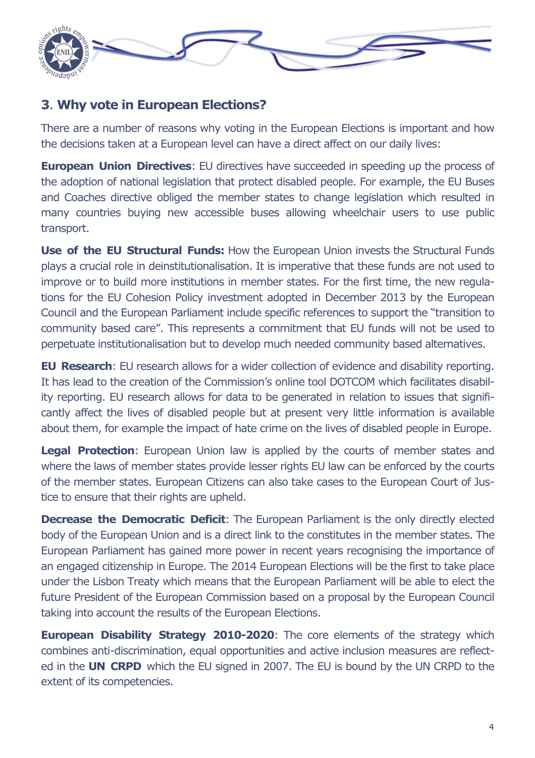

### **3**. **Why vote in European Elections?**

There are a number of reasons why voting in the European Elections is important and how the decisions taken at a European level can have a direct affect on our daily lives:

**European Union Directives:** EU directives have succeeded in speeding up the process of the adoption of national legislation that protect disabled people. For example, the EU Buses and Coaches directive obliged the member states to change legislation which resulted in many countries buying new accessible buses allowing wheelchair users to use public transport.

**Use of the EU Structural Funds:** How the European Union invests the Structural Funds plays a crucial role in deinstitutionalisation. It is imperative that these funds are not used to improve or to build more institutions in member states. For the first time, the new regulations for the EU Cohesion Policy investment adopted in December 2013 by the European Council and the European Parliament include specific references to support the "transition to community based care". This represents a commitment that EU funds will not be used to perpetuate institutionalisation but to develop much needed community based alternatives.

**EU Research**: EU research allows for a wider collection of evidence and disability reporting. It has lead to the creation of the Commission's online tool DOTCOM which facilitates disability reporting. EU research allows for data to be generated in relation to issues that significantly affect the lives of disabled people but at present very little information is available about them, for example the impact of hate crime on the lives of disabled people in Europe.

**Legal Protection:** European Union law is applied by the courts of member states and where the laws of member states provide lesser rights EU law can be enforced by the courts of the member states. European Citizens can also take cases to the European Court of Justice to ensure that their rights are upheld.

**Decrease the Democratic Deficit:** The European Parliament is the only directly elected body of the European Union and is a direct link to the constitutes in the member states. The European Parliament has gained more power in recent years recognising the importance of an engaged citizenship in Europe. The 2014 European Elections will be the first to take place under the Lisbon Treaty which means that the European Parliament will be able to elect the future President of the European Commission based on a proposal by the European Council taking into account the results of the European Elections.

**European Disability Strategy 2010-2020:** The core elements of the strategy which combines anti-discrimination, equal opportunities and active inclusion measures are reflected in the **UN CRPD** which the EU signed in 2007. The EU is bound by the UN CRPD to the extent of its competencies.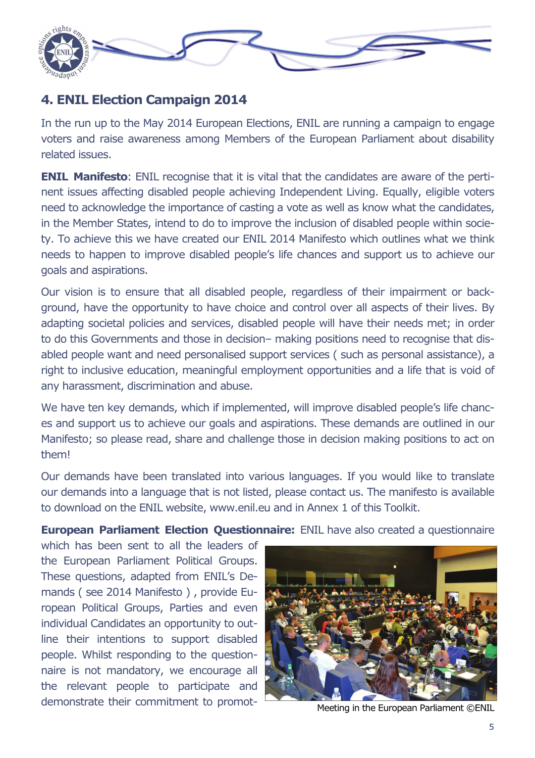

### **4. ENIL Election Campaign 2014**

In the run up to the May 2014 European Elections, ENIL are running a campaign to engage voters and raise awareness among Members of the European Parliament about disability related issues.

**ENIL Manifesto:** ENIL recognise that it is vital that the candidates are aware of the pertinent issues affecting disabled people achieving Independent Living. Equally, eligible voters need to acknowledge the importance of casting a vote as well as know what the candidates, in the Member States, intend to do to improve the inclusion of disabled people within society. To achieve this we have created our ENIL 2014 Manifesto which outlines what we think needs to happen to improve disabled people's life chances and support us to achieve our goals and aspirations.

Our vision is to ensure that all disabled people, regardless of their impairment or background, have the opportunity to have choice and control over all aspects of their lives. By adapting societal policies and services, disabled people will have their needs met; in order to do this Governments and those in decision– making positions need to recognise that disabled people want and need personalised support services ( such as personal assistance), a right to inclusive education, meaningful employment opportunities and a life that is void of any harassment, discrimination and abuse.

We have ten key demands, which if implemented, will improve disabled people's life chances and support us to achieve our goals and aspirations. These demands are outlined in our Manifesto; so please read, share and challenge those in decision making positions to act on them!

Our demands have been translated into various languages. If you would like to translate our demands into a language that is not listed, please contact us. The manifesto is available to download on the ENIL website, www.enil.eu and in Annex 1 of this Toolkit.

**European Parliament Election Questionnaire:** ENIL have also created a questionnaire

which has been sent to all the leaders of the European Parliament Political Groups. These questions, adapted from ENIL's Demands ( see 2014 Manifesto ) , provide European Political Groups, Parties and even individual Candidates an opportunity to outline their intentions to support disabled people. Whilst responding to the questionnaire is not mandatory, we encourage all the relevant people to participate and demonstrate their commitment to promot- Meeting in the European Parliament ©ENIL

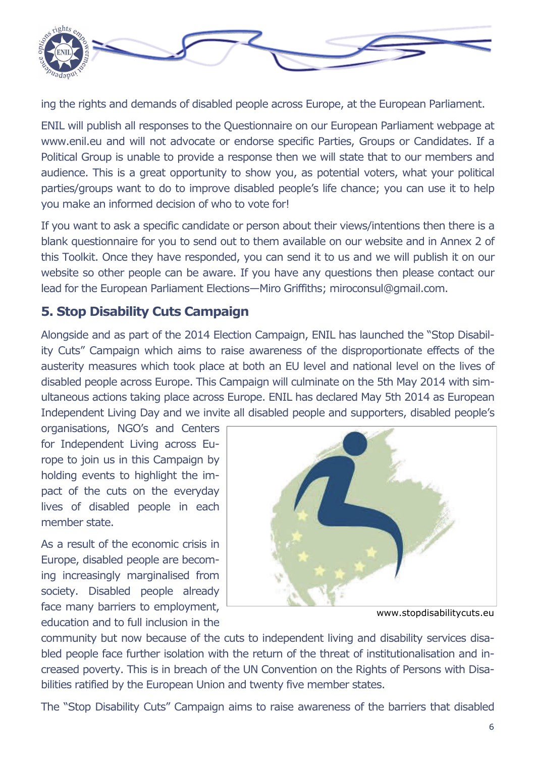

ing the rights and demands of disabled people across Europe, at the European Parliament.

ENIL will publish all responses to the Questionnaire on our European Parliament webpage at www.enil.eu and will not advocate or endorse specific Parties, Groups or Candidates. If a Political Group is unable to provide a response then we will state that to our members and audience. This is a great opportunity to show you, as potential voters, what your political parties/groups want to do to improve disabled people's life chance; you can use it to help you make an informed decision of who to vote for!

If you want to ask a specific candidate or person about their views/intentions then there is a blank questionnaire for you to send out to them available on our website and in Annex 2 of this Toolkit. Once they have responded, you can send it to us and we will publish it on our website so other people can be aware. If you have any questions then please contact our lead for the European Parliament Elections—Miro Griffiths; miroconsul@gmail.com.

### **5. Stop Disability Cuts Campaign**

Alongside and as part of the 2014 Election Campaign, ENIL has launched the "Stop Disability Cuts" Campaign which aims to raise awareness of the disproportionate effects of the austerity measures which took place at both an EU level and national level on the lives of disabled people across Europe. This Campaign will culminate on the 5th May 2014 with simultaneous actions taking place across Europe. ENIL has declared May 5th 2014 as European Independent Living Day and we invite all disabled people and supporters, disabled people's

organisations, NGO's and Centers for Independent Living across Europe to join us in this Campaign by holding events to highlight the impact of the cuts on the everyday lives of disabled people in each member state.

As a result of the economic crisis in Europe, disabled people are becoming increasingly marginalised from society. Disabled people already face many barriers to employment, education and to full inclusion in the



www.stopdisabilitycuts.eu

community but now because of the cuts to independent living and disability services disabled people face further isolation with the return of the threat of institutionalisation and increased poverty. This is in breach of the UN Convention on the Rights of Persons with Disabilities ratified by the European Union and twenty five member states.

The "Stop Disability Cuts" Campaign aims to raise awareness of the barriers that disabled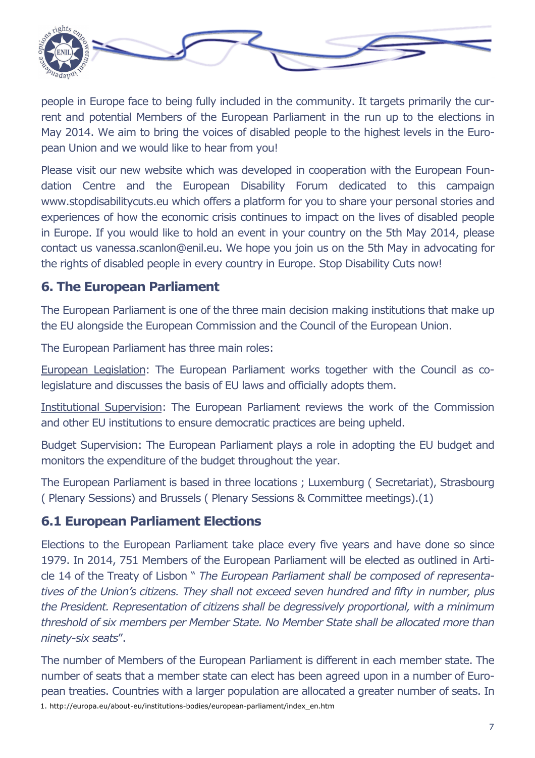

people in Europe face to being fully included in the community. It targets primarily the current and potential Members of the European Parliament in the run up to the elections in May 2014. We aim to bring the voices of disabled people to the highest levels in the European Union and we would like to hear from you!

Please visit our new website which was developed in cooperation with the European Foundation Centre and the European Disability Forum dedicated to this campaign www.stopdisabilitycuts.eu which offers a platform for you to share your personal stories and experiences of how the economic crisis continues to impact on the lives of disabled people in Europe. If you would like to hold an event in your country on the 5th May 2014, please contact us vanessa.scanlon@enil.eu. We hope you join us on the 5th May in advocating for the rights of disabled people in every country in Europe. Stop Disability Cuts now!

### **6. The European Parliament**

The European Parliament is one of the three main decision making institutions that make up the EU alongside the European Commission and the Council of the European Union.

The European Parliament has three main roles:

European Legislation: The European Parliament works together with the Council as colegislature and discusses the basis of EU laws and officially adopts them.

Institutional Supervision: The European Parliament reviews the work of the Commission and other EU institutions to ensure democratic practices are being upheld.

Budget Supervision: The European Parliament plays a role in adopting the EU budget and monitors the expenditure of the budget throughout the year.

The European Parliament is based in three locations ; Luxemburg ( Secretariat), Strasbourg ( Plenary Sessions) and Brussels ( Plenary Sessions & Committee meetings).(1)

### **6.1 European Parliament Elections**

Elections to the European Parliament take place every five years and have done so since 1979. In 2014, 751 Members of the European Parliament will be elected as outlined in Article 14 of the Treaty of Lisbon " *The European Parliament shall be composed of representatives of the Union's citizens. They shall not exceed seven hundred and fifty in number, plus the President. Representation of citizens shall be degressively proportional, with a minimum threshold of six members per Member State. No Member State shall be allocated more than ninety-six seats*".

The number of Members of the European Parliament is different in each member state. The number of seats that a member state can elect has been agreed upon in a number of European treaties. Countries with a larger population are allocated a greater number of seats. In 1. http://europa.eu/about-eu/institutions-bodies/european-parliament/index\_en.htm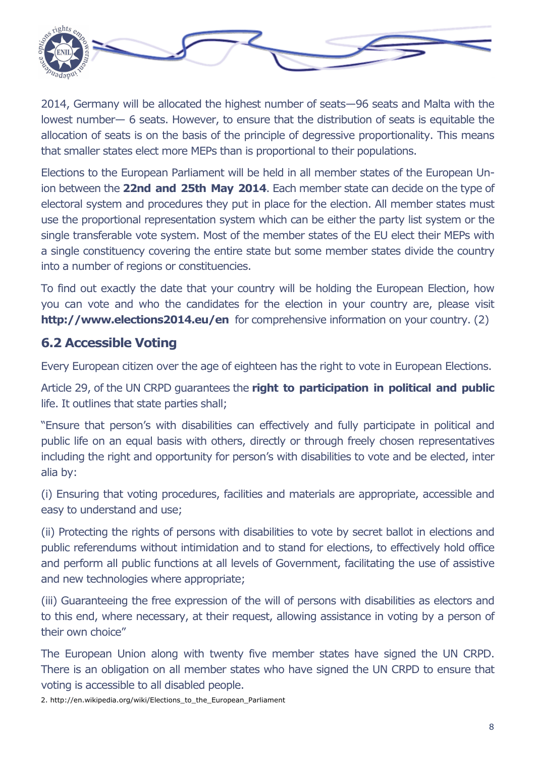

2014, Germany will be allocated the highest number of seats—96 seats and Malta with the lowest number— 6 seats. However, to ensure that the distribution of seats is equitable the allocation of seats is on the basis of the principle of degressive proportionality. This means that smaller states elect more MEPs than is proportional to their populations.

Elections to the European Parliament will be held in all member states of the European Union between the **22nd and 25th May 2014**. Each member state can decide on the type of electoral system and procedures they put in place for the election. All member states must use the proportional representation system which can be either the party list system or the single transferable vote system. Most of the member states of the EU elect their MEPs with a single constituency covering the entire state but some member states divide the country into a number of regions or constituencies.

To find out exactly the date that your country will be holding the European Election, how you can vote and who the candidates for the election in your country are, please visit **http://www.elections2014.eu/en** for comprehensive information on your country. (2)

### **6.2 Accessible Voting**

Every European citizen over the age of eighteen has the right to vote in European Elections.

Article 29, of the UN CRPD guarantees the **right to participation in political and public**  life. It outlines that state parties shall;

"Ensure that person's with disabilities can effectively and fully participate in political and public life on an equal basis with others, directly or through freely chosen representatives including the right and opportunity for person's with disabilities to vote and be elected, inter alia by:

(i) Ensuring that voting procedures, facilities and materials are appropriate, accessible and easy to understand and use;

(ii) Protecting the rights of persons with disabilities to vote by secret ballot in elections and public referendums without intimidation and to stand for elections, to effectively hold office and perform all public functions at all levels of Government, facilitating the use of assistive and new technologies where appropriate;

(iii) Guaranteeing the free expression of the will of persons with disabilities as electors and to this end, where necessary, at their request, allowing assistance in voting by a person of their own choice"

The European Union along with twenty five member states have signed the UN CRPD. There is an obligation on all member states who have signed the UN CRPD to ensure that voting is accessible to all disabled people.

2. http://en.wikipedia.org/wiki/Elections\_to\_the\_European\_Parliament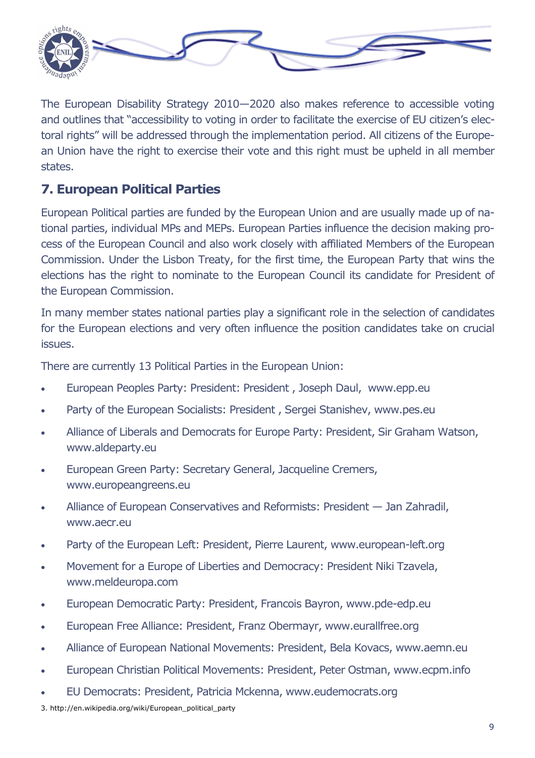

The European Disability Strategy 2010—2020 also makes reference to accessible voting and outlines that "accessibility to voting in order to facilitate the exercise of EU citizen's electoral rights" will be addressed through the implementation period. All citizens of the European Union have the right to exercise their vote and this right must be upheld in all member states.

### **7. European Political Parties**

European Political parties are funded by the European Union and are usually made up of national parties, individual MPs and MEPs. European Parties influence the decision making process of the European Council and also work closely with affiliated Members of the European Commission. Under the Lisbon Treaty, for the first time, the European Party that wins the elections has the right to nominate to the European Council its candidate for President of the European Commission.

In many member states national parties play a significant role in the selection of candidates for the European elections and very often influence the position candidates take on crucial issues.

There are currently 13 Political Parties in the European Union:

- European Peoples Party: President: President , Joseph Daul, www.epp.eu
- Party of the European Socialists: President , Sergei Stanishev, www.pes.eu
- Alliance of Liberals and Democrats for Europe Party: President, Sir Graham Watson, www.aldeparty.eu
- European Green Party: Secretary General, Jacqueline Cremers, www.europeangreens.eu
- Alliance of European Conservatives and Reformists: President Jan Zahradil, www.aecr.eu
- Party of the European Left: President, Pierre Laurent, www.european-left.org
- Movement for a Europe of Liberties and Democracy: President Niki Tzavela, www.meldeuropa.com
- European Democratic Party: President, Francois Bayron, www.pde-edp.eu
- European Free Alliance: President, Franz Obermayr, www.eurallfree.org
- Alliance of European National Movements: President, Bela Kovacs, www.aemn.eu
- European Christian Political Movements: President, Peter Ostman, www.ecpm.info
- EU Democrats: President, Patricia Mckenna, www.eudemocrats.org

3. http://en.wikipedia.org/wiki/European\_political\_party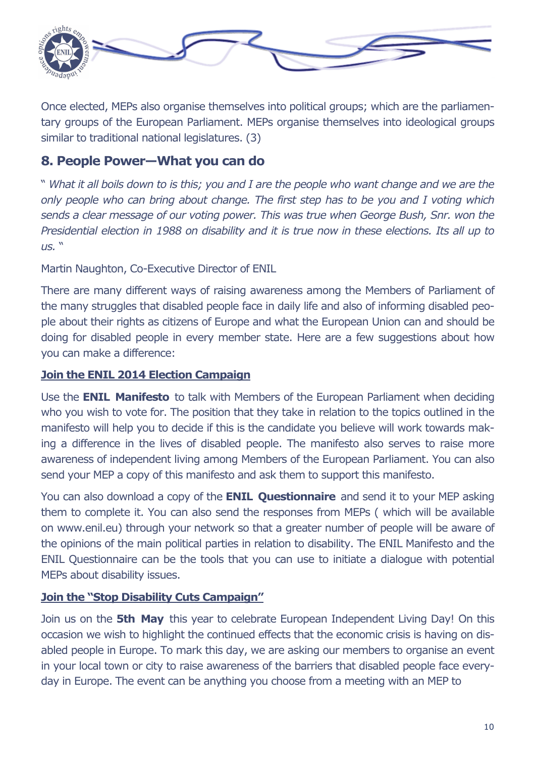

Once elected, MEPs also organise themselves into political groups; which are the parliamentary groups of the European Parliament. MEPs organise themselves into ideological groups similar to traditional national legislatures. (3)

### **8. People Power—What you can do**

" *What it all boils down to is this; you and I are the people who want change and we are the only people who can bring about change. The first step has to be you and I voting which sends a clear message of our voting power. This was true when George Bush, Snr. won the Presidential election in 1988 on disability and it is true now in these elections. Its all up to us.* "

Martin Naughton, Co-Executive Director of ENIL

There are many different ways of raising awareness among the Members of Parliament of the many struggles that disabled people face in daily life and also of informing disabled people about their rights as citizens of Europe and what the European Union can and should be doing for disabled people in every member state. Here are a few suggestions about how you can make a difference:

### **Join the ENIL 2014 Election Campaign**

Use the **ENIL Manifesto** to talk with Members of the European Parliament when deciding who you wish to vote for. The position that they take in relation to the topics outlined in the manifesto will help you to decide if this is the candidate you believe will work towards making a difference in the lives of disabled people. The manifesto also serves to raise more awareness of independent living among Members of the European Parliament. You can also send your MEP a copy of this manifesto and ask them to support this manifesto.

You can also download a copy of the **ENIL Questionnaire** and send it to your MEP asking them to complete it. You can also send the responses from MEPs ( which will be available on www.enil.eu) through your network so that a greater number of people will be aware of the opinions of the main political parties in relation to disability. The ENIL Manifesto and the ENIL Questionnaire can be the tools that you can use to initiate a dialogue with potential MEPs about disability issues.

### **Join the "Stop Disability Cuts Campaign"**

Join us on the **5th May** this year to celebrate European Independent Living Day! On this occasion we wish to highlight the continued effects that the economic crisis is having on disabled people in Europe. To mark this day, we are asking our members to organise an event in your local town or city to raise awareness of the barriers that disabled people face everyday in Europe. The event can be anything you choose from a meeting with an MEP to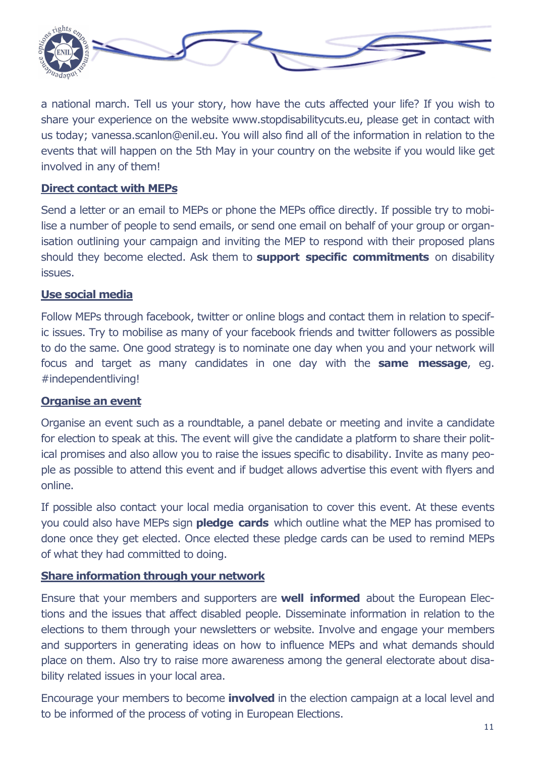

a national march. Tell us your story, how have the cuts affected your life? If you wish to share your experience on the website www.stopdisabilitycuts.eu, please get in contact with us today; vanessa.scanlon@enil.eu. You will also find all of the information in relation to the events that will happen on the 5th May in your country on the website if you would like get involved in any of them!

### **Direct contact with MEPs**

Send a letter or an email to MEPs or phone the MEPs office directly. If possible try to mobilise a number of people to send emails, or send one email on behalf of your group or organisation outlining your campaign and inviting the MEP to respond with their proposed plans should they become elected. Ask them to **support specific commitments** on disability issues.

### **Use social media**

Follow MEPs through facebook, twitter or online blogs and contact them in relation to specific issues. Try to mobilise as many of your facebook friends and twitter followers as possible to do the same. One good strategy is to nominate one day when you and your network will focus and target as many candidates in one day with the **same message**, eg. #independentliving!

#### **Organise an event**

Organise an event such as a roundtable, a panel debate or meeting and invite a candidate for election to speak at this. The event will give the candidate a platform to share their political promises and also allow you to raise the issues specific to disability. Invite as many people as possible to attend this event and if budget allows advertise this event with flyers and online.

If possible also contact your local media organisation to cover this event. At these events you could also have MEPs sign **pledge cards** which outline what the MEP has promised to done once they get elected. Once elected these pledge cards can be used to remind MEPs of what they had committed to doing.

#### **Share information through your network**

Ensure that your members and supporters are **well informed** about the European Elections and the issues that affect disabled people. Disseminate information in relation to the elections to them through your newsletters or website. Involve and engage your members and supporters in generating ideas on how to influence MEPs and what demands should place on them. Also try to raise more awareness among the general electorate about disability related issues in your local area.

Encourage your members to become **involved** in the election campaign at a local level and to be informed of the process of voting in European Elections.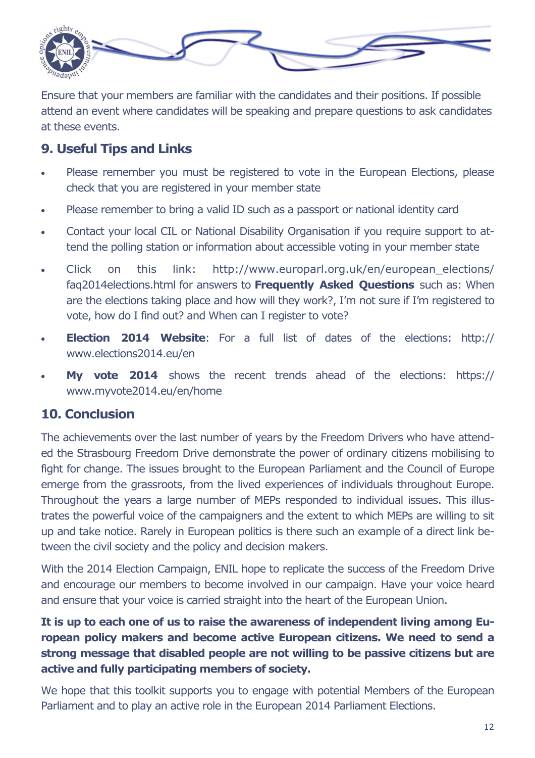

Ensure that your members are familiar with the candidates and their positions. If possible attend an event where candidates will be speaking and prepare questions to ask candidates at these events.

### **9. Useful Tips and Links**

- Please remember you must be registered to vote in the European Elections, please check that you are registered in your member state
- Please remember to bring a valid ID such as a passport or national identity card
- Contact your local CIL or National Disability Organisation if you require support to attend the polling station or information about accessible voting in your member state
- Click on this link: http://www.europarl.org.uk/en/european\_elections/ faq2014elections.html for answers to **Frequently Asked Questions** such as: When are the elections taking place and how will they work?, I'm not sure if I'm registered to vote, how do I find out? and When can I register to vote?
- **Election 2014 Website**: For a full list of dates of the elections: http:// www.elections2014.eu/en
- **My vote 2014** shows the recent trends ahead of the elections: https:// www.myvote2014.eu/en/home

### **10. Conclusion**

The achievements over the last number of years by the Freedom Drivers who have attended the Strasbourg Freedom Drive demonstrate the power of ordinary citizens mobilising to fight for change. The issues brought to the European Parliament and the Council of Europe emerge from the grassroots, from the lived experiences of individuals throughout Europe. Throughout the years a large number of MEPs responded to individual issues. This illustrates the powerful voice of the campaigners and the extent to which MEPs are willing to sit up and take notice. Rarely in European politics is there such an example of a direct link between the civil society and the policy and decision makers.

With the 2014 Election Campaign, ENIL hope to replicate the success of the Freedom Drive and encourage our members to become involved in our campaign. Have your voice heard and ensure that your voice is carried straight into the heart of the European Union.

### **It is up to each one of us to raise the awareness of independent living among European policy makers and become active European citizens. We need to send a strong message that disabled people are not willing to be passive citizens but are active and fully participating members of society.**

We hope that this toolkit supports you to engage with potential Members of the European Parliament and to play an active role in the European 2014 Parliament Elections.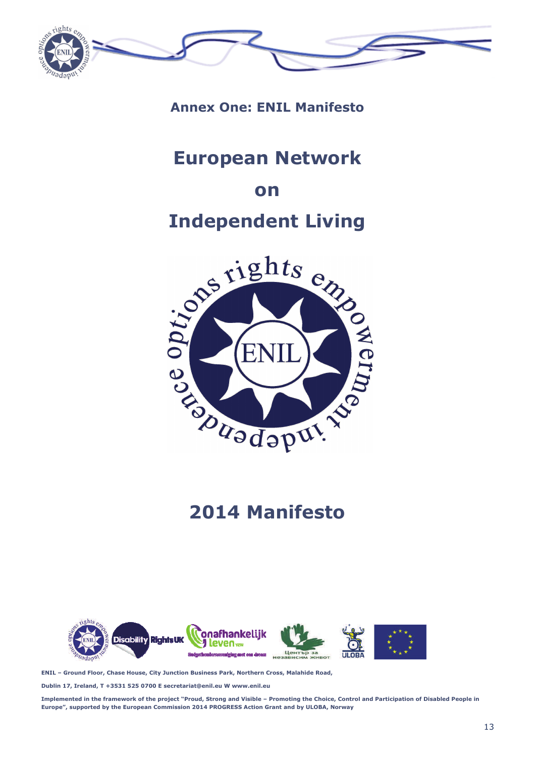

**Annex One: ENIL Manifesto** 

# **European Network**

### **on**

# **Independent Living**



# **2014 Manifesto**



**ENIL – Ground Floor, Chase House, City Junction Business Park, Northern Cross, Malahide Road,** 

**Dublin 17, Ireland, T +3531 525 0700 E secretariat@enil.eu W www.enil.eu** 

**Implemented in the framework of the project "Proud, Strong and Visible – Promoting the Choice, Control and Participation of Disabled People in Europe", supported by the European Commission 2014 PROGRESS Action Grant and by ULOBA, Norway**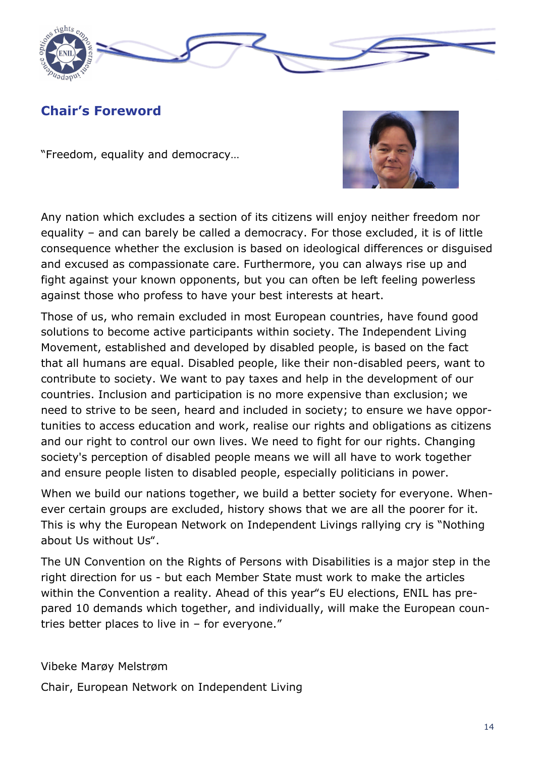

## **Chair's Foreword**

"Freedom, equality and democracy…



Any nation which excludes a section of its citizens will enjoy neither freedom nor equality – and can barely be called a democracy. For those excluded, it is of little consequence whether the exclusion is based on ideological differences or disguised and excused as compassionate care. Furthermore, you can always rise up and fight against your known opponents, but you can often be left feeling powerless against those who profess to have your best interests at heart.

Those of us, who remain excluded in most European countries, have found good solutions to become active participants within society. The Independent Living Movement, established and developed by disabled people, is based on the fact that all humans are equal. Disabled people, like their non-disabled peers, want to contribute to society. We want to pay taxes and help in the development of our countries. Inclusion and participation is no more expensive than exclusion; we need to strive to be seen, heard and included in society; to ensure we have opportunities to access education and work, realise our rights and obligations as citizens and our right to control our own lives. We need to fight for our rights. Changing society's perception of disabled people means we will all have to work together and ensure people listen to disabled people, especially politicians in power.

When we build our nations together, we build a better society for everyone. Whenever certain groups are excluded, history shows that we are all the poorer for it. This is why the European Network on Independent Livings rallying cry is "Nothing about Us without Us".

The UN Convention on the Rights of Persons with Disabilities is a major step in the right direction for us - but each Member State must work to make the articles within the Convention a reality. Ahead of this year"s EU elections, ENIL has prepared 10 demands which together, and individually, will make the European countries better places to live in – for everyone."

Vibeke Marøy Melstrøm

Chair, European Network on Independent Living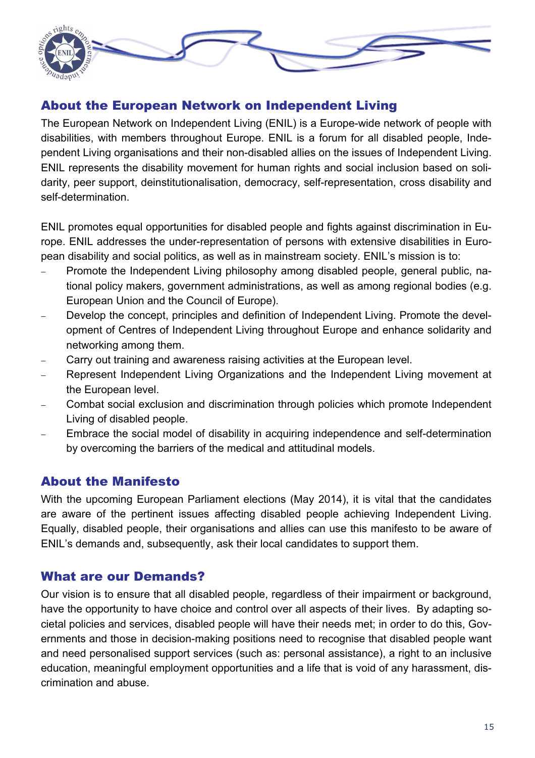

### About the European Network on Independent Living

The European Network on Independent Living (ENIL) is a Europe-wide network of people with disabilities, with members throughout Europe. ENIL is a forum for all disabled people, Independent Living organisations and their non-disabled allies on the issues of Independent Living. ENIL represents the disability movement for human rights and social inclusion based on solidarity, peer support, deinstitutionalisation, democracy, self-representation, cross disability and self-determination.

ENIL promotes equal opportunities for disabled people and fights against discrimination in Europe. ENIL addresses the under-representation of persons with extensive disabilities in European disability and social politics, as well as in mainstream society. ENIL's mission is to:

- Promote the Independent Living philosophy among disabled people, general public, national policy makers, government administrations, as well as among regional bodies (e.g. European Union and the Council of Europe).
- Develop the concept, principles and definition of Independent Living. Promote the development of Centres of Independent Living throughout Europe and enhance solidarity and networking among them.
- Carry out training and awareness raising activities at the European level.
- Represent Independent Living Organizations and the Independent Living movement at the European level.
- Combat social exclusion and discrimination through policies which promote Independent Living of disabled people.
- Embrace the social model of disability in acquiring independence and self-determination by overcoming the barriers of the medical and attitudinal models.

### About the Manifesto

With the upcoming European Parliament elections (May 2014), it is vital that the candidates are aware of the pertinent issues affecting disabled people achieving Independent Living. Equally, disabled people, their organisations and allies can use this manifesto to be aware of ENIL's demands and, subsequently, ask their local candidates to support them.

### What are our Demands?

Our vision is to ensure that all disabled people, regardless of their impairment or background, have the opportunity to have choice and control over all aspects of their lives. By adapting societal policies and services, disabled people will have their needs met; in order to do this, Governments and those in decision-making positions need to recognise that disabled people want and need personalised support services (such as: personal assistance), a right to an inclusive education, meaningful employment opportunities and a life that is void of any harassment, discrimination and abuse.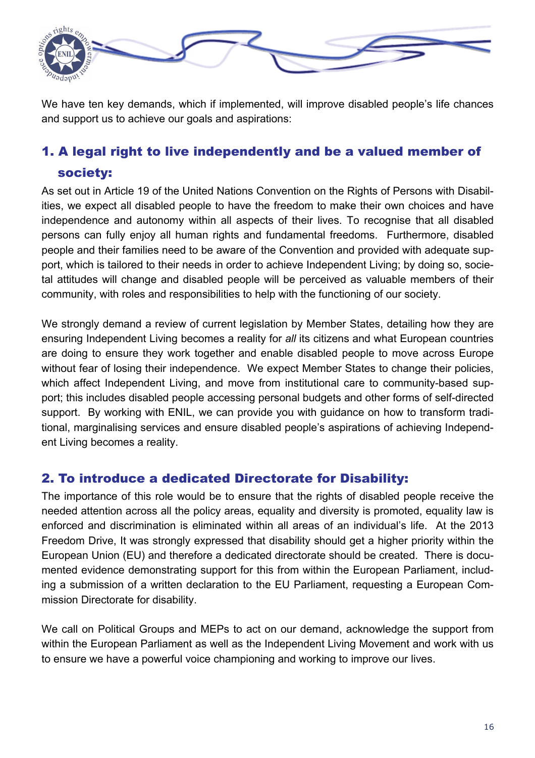

We have ten key demands, which if implemented, will improve disabled people's life chances and support us to achieve our goals and aspirations:

# 1. A legal right to live independently and be a valued member of society:

As set out in Article 19 of the United Nations Convention on the Rights of Persons with Disabilities, we expect all disabled people to have the freedom to make their own choices and have independence and autonomy within all aspects of their lives. To recognise that all disabled persons can fully enjoy all human rights and fundamental freedoms. Furthermore, disabled people and their families need to be aware of the Convention and provided with adequate support, which is tailored to their needs in order to achieve Independent Living; by doing so, societal attitudes will change and disabled people will be perceived as valuable members of their community, with roles and responsibilities to help with the functioning of our society.

We strongly demand a review of current legislation by Member States, detailing how they are ensuring Independent Living becomes a reality for *all* its citizens and what European countries are doing to ensure they work together and enable disabled people to move across Europe without fear of losing their independence. We expect Member States to change their policies, which affect Independent Living, and move from institutional care to community-based support; this includes disabled people accessing personal budgets and other forms of self-directed support. By working with ENIL, we can provide you with guidance on how to transform traditional, marginalising services and ensure disabled people's aspirations of achieving Independent Living becomes a reality.

### 2. To introduce a dedicated Directorate for Disability:

The importance of this role would be to ensure that the rights of disabled people receive the needed attention across all the policy areas, equality and diversity is promoted, equality law is enforced and discrimination is eliminated within all areas of an individual's life. At the 2013 Freedom Drive, It was strongly expressed that disability should get a higher priority within the European Union (EU) and therefore a dedicated directorate should be created. There is documented evidence demonstrating support for this from within the European Parliament, including a submission of a written declaration to the EU Parliament, requesting a European Commission Directorate for disability.

We call on Political Groups and MEPs to act on our demand, acknowledge the support from within the European Parliament as well as the Independent Living Movement and work with us to ensure we have a powerful voice championing and working to improve our lives.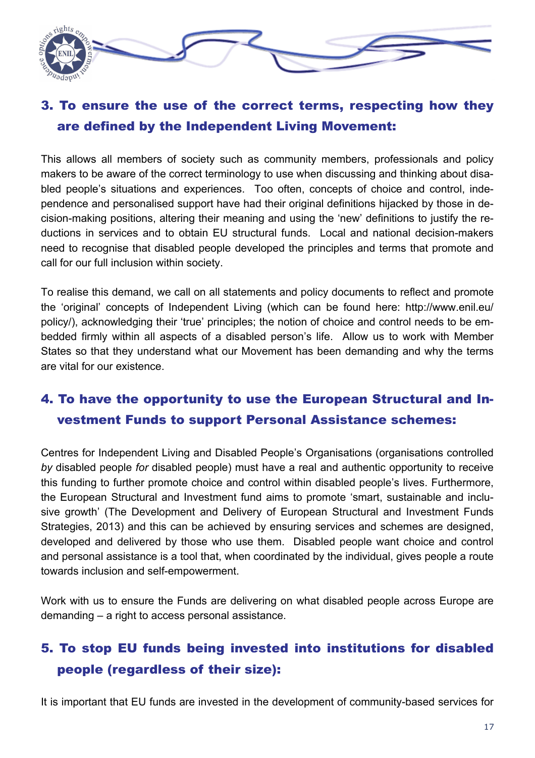

# 3. To ensure the use of the correct terms, respecting how they are defined by the Independent Living Movement:

This allows all members of society such as community members, professionals and policy makers to be aware of the correct terminology to use when discussing and thinking about disabled people's situations and experiences. Too often, concepts of choice and control, independence and personalised support have had their original definitions hijacked by those in decision-making positions, altering their meaning and using the 'new' definitions to justify the reductions in services and to obtain EU structural funds. Local and national decision-makers need to recognise that disabled people developed the principles and terms that promote and call for our full inclusion within society.

To realise this demand, we call on all statements and policy documents to reflect and promote the 'original' concepts of Independent Living (which can be found here: http://www.enil.eu/ policy/), acknowledging their 'true' principles; the notion of choice and control needs to be embedded firmly within all aspects of a disabled person's life. Allow us to work with Member States so that they understand what our Movement has been demanding and why the terms are vital for our existence.

# 4. To have the opportunity to use the European Structural and Investment Funds to support Personal Assistance schemes:

Centres for Independent Living and Disabled People's Organisations (organisations controlled *by* disabled people *for* disabled people) must have a real and authentic opportunity to receive this funding to further promote choice and control within disabled people's lives. Furthermore, the European Structural and Investment fund aims to promote 'smart, sustainable and inclusive growth' (The Development and Delivery of European Structural and Investment Funds Strategies, 2013) and this can be achieved by ensuring services and schemes are designed, developed and delivered by those who use them. Disabled people want choice and control and personal assistance is a tool that, when coordinated by the individual, gives people a route towards inclusion and self-empowerment.

Work with us to ensure the Funds are delivering on what disabled people across Europe are demanding – a right to access personal assistance.

# 5. To stop EU funds being invested into institutions for disabled people (regardless of their size):

It is important that EU funds are invested in the development of community-based services for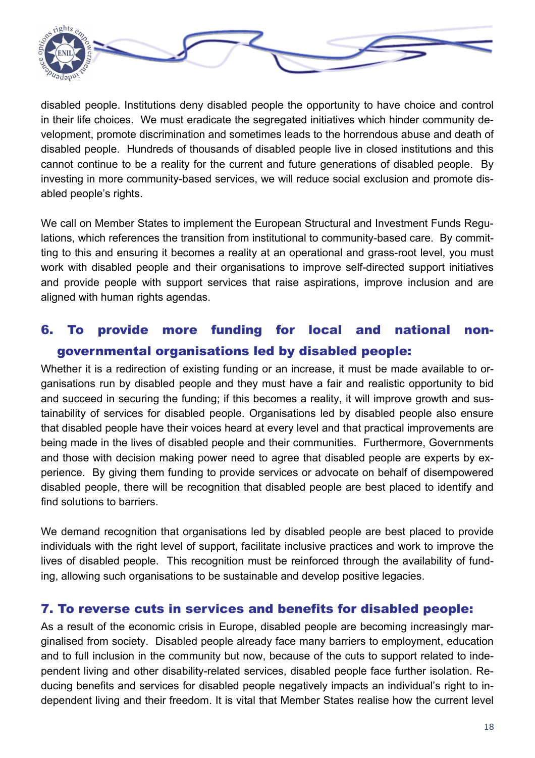

disabled people. Institutions deny disabled people the opportunity to have choice and control in their life choices. We must eradicate the segregated initiatives which hinder community development, promote discrimination and sometimes leads to the horrendous abuse and death of disabled people. Hundreds of thousands of disabled people live in closed institutions and this cannot continue to be a reality for the current and future generations of disabled people. By investing in more community-based services, we will reduce social exclusion and promote disabled people's rights.

We call on Member States to implement the European Structural and Investment Funds Regulations, which references the transition from institutional to community-based care. By committing to this and ensuring it becomes a reality at an operational and grass-root level, you must work with disabled people and their organisations to improve self-directed support initiatives and provide people with support services that raise aspirations, improve inclusion and are aligned with human rights agendas.

# 6. To provide more funding for local and national nongovernmental organisations led by disabled people:

Whether it is a redirection of existing funding or an increase, it must be made available to organisations run by disabled people and they must have a fair and realistic opportunity to bid and succeed in securing the funding; if this becomes a reality, it will improve growth and sustainability of services for disabled people. Organisations led by disabled people also ensure that disabled people have their voices heard at every level and that practical improvements are being made in the lives of disabled people and their communities. Furthermore, Governments and those with decision making power need to agree that disabled people are experts by experience. By giving them funding to provide services or advocate on behalf of disempowered disabled people, there will be recognition that disabled people are best placed to identify and find solutions to barriers.

We demand recognition that organisations led by disabled people are best placed to provide individuals with the right level of support, facilitate inclusive practices and work to improve the lives of disabled people. This recognition must be reinforced through the availability of funding, allowing such organisations to be sustainable and develop positive legacies.

### 7. To reverse cuts in services and benefits for disabled people:

As a result of the economic crisis in Europe, disabled people are becoming increasingly marginalised from society. Disabled people already face many barriers to employment, education and to full inclusion in the community but now, because of the cuts to support related to independent living and other disability-related services, disabled people face further isolation. Reducing benefits and services for disabled people negatively impacts an individual's right to independent living and their freedom. It is vital that Member States realise how the current level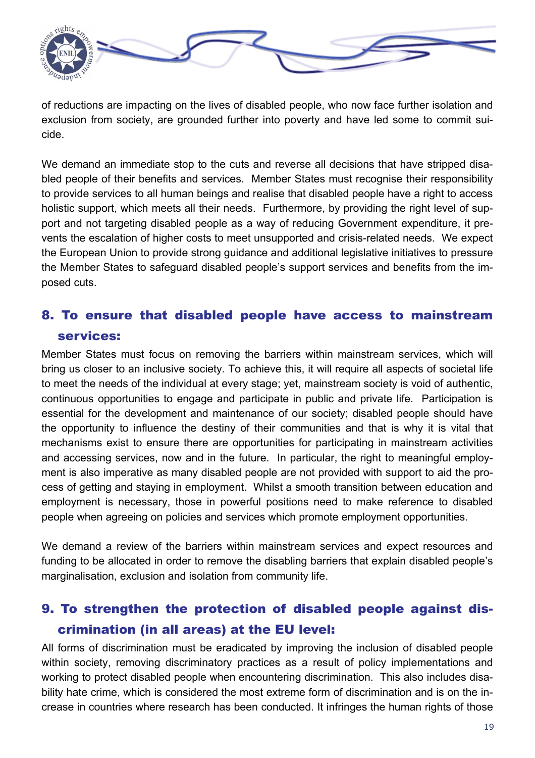

of reductions are impacting on the lives of disabled people, who now face further isolation and exclusion from society, are grounded further into poverty and have led some to commit suicide.

We demand an immediate stop to the cuts and reverse all decisions that have stripped disabled people of their benefits and services. Member States must recognise their responsibility to provide services to all human beings and realise that disabled people have a right to access holistic support, which meets all their needs. Furthermore, by providing the right level of support and not targeting disabled people as a way of reducing Government expenditure, it prevents the escalation of higher costs to meet unsupported and crisis-related needs. We expect the European Union to provide strong guidance and additional legislative initiatives to pressure the Member States to safeguard disabled people's support services and benefits from the imposed cuts.

# 8. To ensure that disabled people have access to mainstream services:

Member States must focus on removing the barriers within mainstream services, which will bring us closer to an inclusive society. To achieve this, it will require all aspects of societal life to meet the needs of the individual at every stage; yet, mainstream society is void of authentic, continuous opportunities to engage and participate in public and private life. Participation is essential for the development and maintenance of our society; disabled people should have the opportunity to influence the destiny of their communities and that is why it is vital that mechanisms exist to ensure there are opportunities for participating in mainstream activities and accessing services, now and in the future. In particular, the right to meaningful employment is also imperative as many disabled people are not provided with support to aid the process of getting and staying in employment. Whilst a smooth transition between education and employment is necessary, those in powerful positions need to make reference to disabled people when agreeing on policies and services which promote employment opportunities.

We demand a review of the barriers within mainstream services and expect resources and funding to be allocated in order to remove the disabling barriers that explain disabled people's marginalisation, exclusion and isolation from community life.

# 9. To strengthen the protection of disabled people against discrimination (in all areas) at the EU level:

All forms of discrimination must be eradicated by improving the inclusion of disabled people within society, removing discriminatory practices as a result of policy implementations and working to protect disabled people when encountering discrimination. This also includes disability hate crime, which is considered the most extreme form of discrimination and is on the increase in countries where research has been conducted. It infringes the human rights of those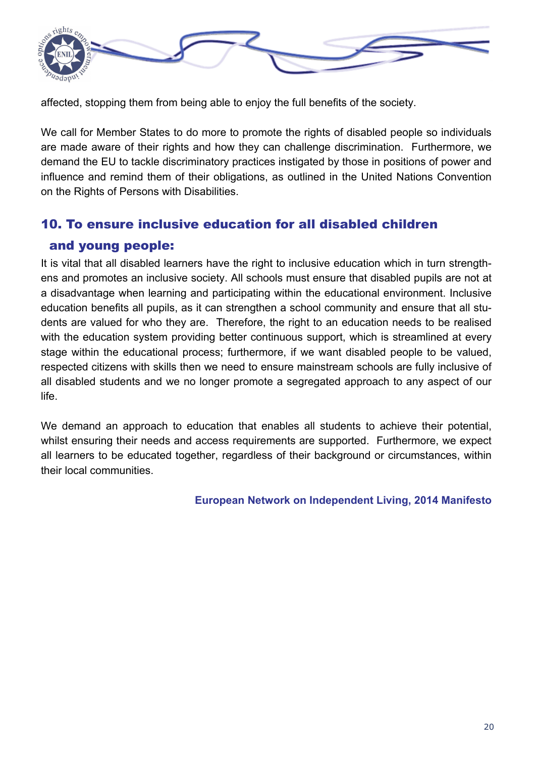

affected, stopping them from being able to enjoy the full benefits of the society.

We call for Member States to do more to promote the rights of disabled people so individuals are made aware of their rights and how they can challenge discrimination. Furthermore, we demand the EU to tackle discriminatory practices instigated by those in positions of power and influence and remind them of their obligations, as outlined in the United Nations Convention on the Rights of Persons with Disabilities.

# 10. To ensure inclusive education for all disabled children and young people:

It is vital that all disabled learners have the right to inclusive education which in turn strengthens and promotes an inclusive society. All schools must ensure that disabled pupils are not at a disadvantage when learning and participating within the educational environment. Inclusive education benefits all pupils, as it can strengthen a school community and ensure that all students are valued for who they are. Therefore, the right to an education needs to be realised with the education system providing better continuous support, which is streamlined at every stage within the educational process; furthermore, if we want disabled people to be valued, respected citizens with skills then we need to ensure mainstream schools are fully inclusive of all disabled students and we no longer promote a segregated approach to any aspect of our life.

We demand an approach to education that enables all students to achieve their potential, whilst ensuring their needs and access requirements are supported. Furthermore, we expect all learners to be educated together, regardless of their background or circumstances, within their local communities.

**European Network on Independent Living, 2014 Manifesto**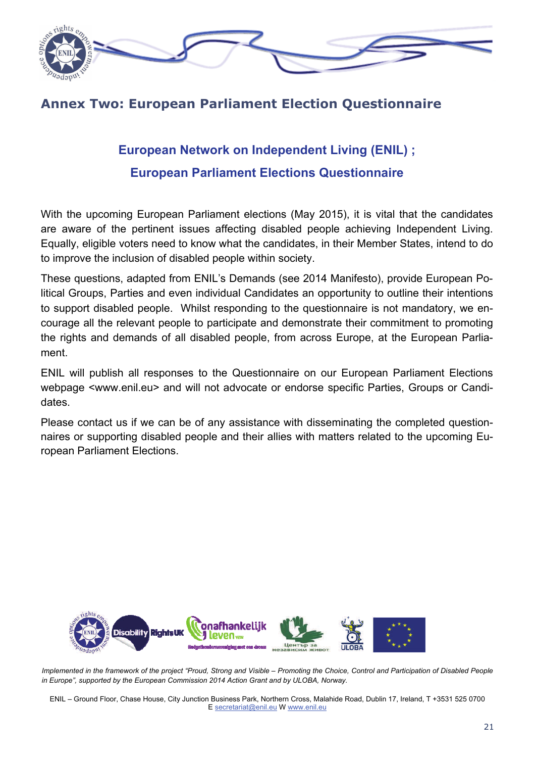

### **Annex Two: European Parliament Election Questionnaire**

# **European Network on Independent Living (ENIL) ; European Parliament Elections Questionnaire**

With the upcoming European Parliament elections (May 2015), it is vital that the candidates are aware of the pertinent issues affecting disabled people achieving Independent Living. Equally, eligible voters need to know what the candidates, in their Member States, intend to do to improve the inclusion of disabled people within society.

These questions, adapted from ENIL's Demands (see 2014 Manifesto), provide European Political Groups, Parties and even individual Candidates an opportunity to outline their intentions to support disabled people. Whilst responding to the questionnaire is not mandatory, we encourage all the relevant people to participate and demonstrate their commitment to promoting the rights and demands of all disabled people, from across Europe, at the European Parliament.

ENIL will publish all responses to the Questionnaire on our European Parliament Elections webpage <www.enil.eu> and will not advocate or endorse specific Parties, Groups or Candidates.

Please contact us if we can be of any assistance with disseminating the completed questionnaires or supporting disabled people and their allies with matters related to the upcoming European Parliament Elections.



*Implemented in the framework of the project "Proud, Strong and Visible – Promoting the Choice, Control and Participation of Disabled People in Europe", supported by the European Commission 2014 Action Grant and by ULOBA, Norway.* 

ENIL – Ground Floor, Chase House, City Junction Business Park, Northern Cross, Malahide Road, Dublin 17, Ireland, T +3531 525 0700 E secretariat@enil.eu W www.enil.eu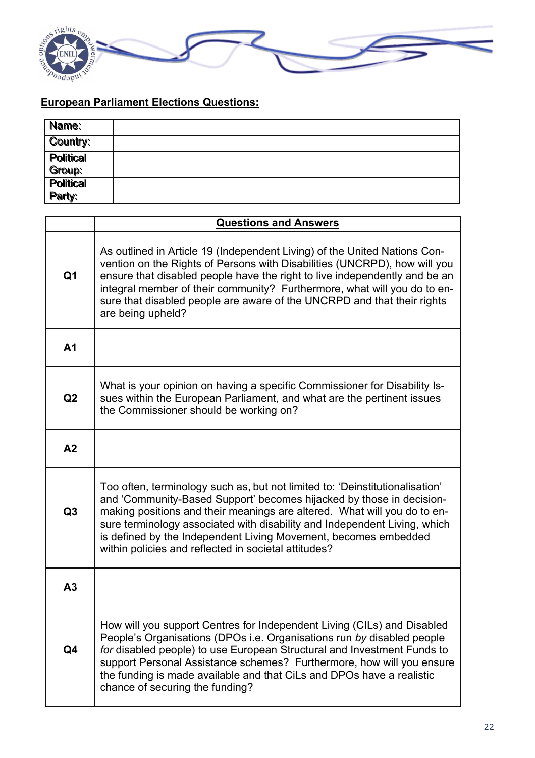

### **European Parliament Elections Questions:**

| Name:                             |  |
|-----------------------------------|--|
| Country:                          |  |
| <b>Political</b>                  |  |
| Group:                            |  |
| <b>Political</b><br><b>Party:</b> |  |
|                                   |  |

|                | <b>Questions and Answers</b>                                                                                                                                                                                                                                                                                                                                                                                                             |
|----------------|------------------------------------------------------------------------------------------------------------------------------------------------------------------------------------------------------------------------------------------------------------------------------------------------------------------------------------------------------------------------------------------------------------------------------------------|
| Q <sub>1</sub> | As outlined in Article 19 (Independent Living) of the United Nations Con-<br>vention on the Rights of Persons with Disabilities (UNCRPD), how will you<br>ensure that disabled people have the right to live independently and be an<br>integral member of their community? Furthermore, what will you do to en-<br>sure that disabled people are aware of the UNCRPD and that their rights<br>are being upheld?                         |
| A <sub>1</sub> |                                                                                                                                                                                                                                                                                                                                                                                                                                          |
| Q2             | What is your opinion on having a specific Commissioner for Disability Is-<br>sues within the European Parliament, and what are the pertinent issues<br>the Commissioner should be working on?                                                                                                                                                                                                                                            |
| A <sub>2</sub> |                                                                                                                                                                                                                                                                                                                                                                                                                                          |
| Q3             | Too often, terminology such as, but not limited to: 'Deinstitutionalisation'<br>and 'Community-Based Support' becomes hijacked by those in decision-<br>making positions and their meanings are altered. What will you do to en-<br>sure terminology associated with disability and Independent Living, which<br>is defined by the Independent Living Movement, becomes embedded<br>within policies and reflected in societal attitudes? |
| A3             |                                                                                                                                                                                                                                                                                                                                                                                                                                          |
| Q4             | How will you support Centres for Independent Living (CILs) and Disabled<br>People's Organisations (DPOs i.e. Organisations run by disabled people<br>for disabled people) to use European Structural and Investment Funds to<br>support Personal Assistance schemes? Furthermore, how will you ensure<br>the funding is made available and that CiLs and DPOs have a realistic<br>chance of securing the funding?                        |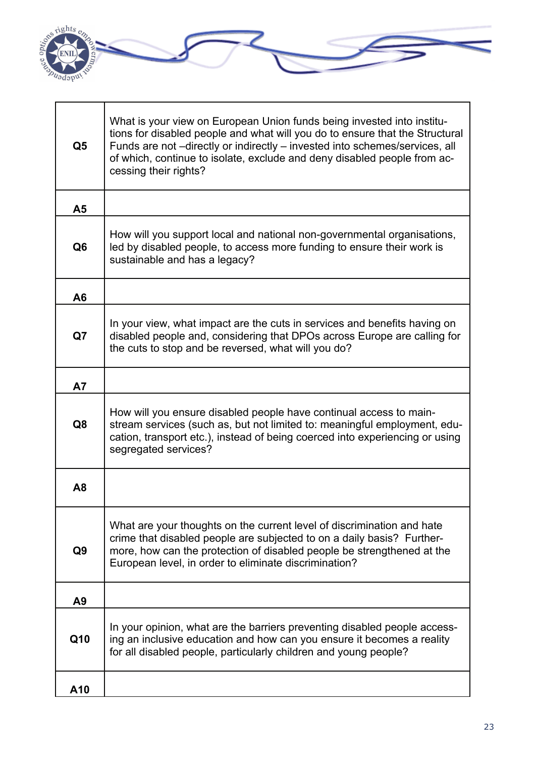

| Q <sub>5</sub> | What is your view on European Union funds being invested into institu-<br>tions for disabled people and what will you do to ensure that the Structural<br>Funds are not -directly or indirectly - invested into schemes/services, all<br>of which, continue to isolate, exclude and deny disabled people from ac-<br>cessing their rights? |
|----------------|--------------------------------------------------------------------------------------------------------------------------------------------------------------------------------------------------------------------------------------------------------------------------------------------------------------------------------------------|
| A5             |                                                                                                                                                                                                                                                                                                                                            |
| Q <sub>6</sub> | How will you support local and national non-governmental organisations,<br>led by disabled people, to access more funding to ensure their work is<br>sustainable and has a legacy?                                                                                                                                                         |
| A <sub>6</sub> |                                                                                                                                                                                                                                                                                                                                            |
| Q7             | In your view, what impact are the cuts in services and benefits having on<br>disabled people and, considering that DPOs across Europe are calling for<br>the cuts to stop and be reversed, what will you do?                                                                                                                               |
| <b>A7</b>      |                                                                                                                                                                                                                                                                                                                                            |
| Q8             | How will you ensure disabled people have continual access to main-<br>stream services (such as, but not limited to: meaningful employment, edu-<br>cation, transport etc.), instead of being coerced into experiencing or using<br>segregated services?                                                                                    |
| A <sub>8</sub> |                                                                                                                                                                                                                                                                                                                                            |
| Q <sub>9</sub> | What are your thoughts on the current level of discrimination and hate<br>crime that disabled people are subjected to on a daily basis? Further-<br>more, how can the protection of disabled people be strengthened at the<br>European level, in order to eliminate discrimination?                                                        |
| A <sub>9</sub> |                                                                                                                                                                                                                                                                                                                                            |
| Q10            | In your opinion, what are the barriers preventing disabled people access-<br>ing an inclusive education and how can you ensure it becomes a reality<br>for all disabled people, particularly children and young people?                                                                                                                    |
| A10            |                                                                                                                                                                                                                                                                                                                                            |